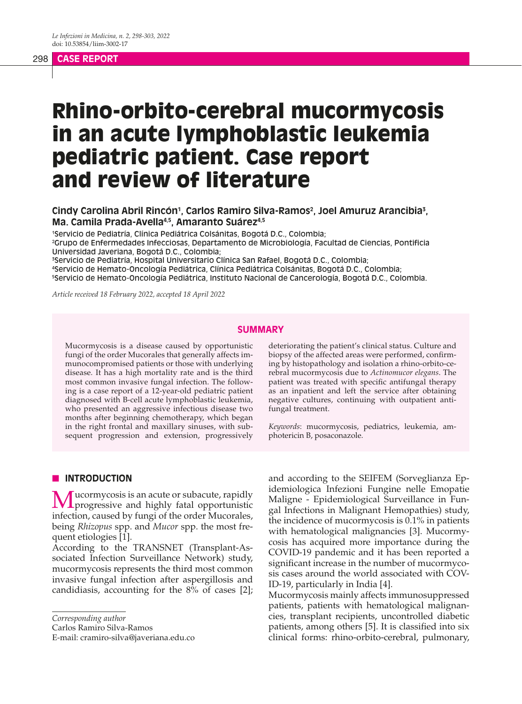## 298 **CASE REPORT**

# Rhino-orbito-cerebral mucormycosis in an acute lymphoblastic leukemia pediatric patient. Case report and review of literature

Cindy Carolina Abril Rincón<sup>1</sup>, Carlos Ramiro Silva-Ramos<sup>2</sup>, Joel Amuruz Arancibia<sup>3</sup>, **Ma. Camila Prada-Avella4,5, Amaranto Suárez4,5**

1 Servicio de Pediatría, Clínica Pediátrica Colsánitas, Bogotá D.C., Colombia;

2 Grupo de Enfermedades Infecciosas, Departamento de Microbiología, Facultad de Ciencias, Pontificia Universidad Javeriana, Bogotá D.C., Colombia;

3 Servicio de Pediatría, Hospital Universitario Clínica San Rafael, Bogotá D.C., Colombia;

4 Servicio de Hemato-Oncología Pediátrica, Clínica Pediátrica Colsánitas, Bogotá D.C., Colombia; 5 Servicio de Hemato-Oncología Pediátrica, Instituto Nacional de Cancerología, Bogotá D.C., Colombia.

*Article received 18 February 2022, accepted 18 April 2022*

#### **SUMMARY**

Mucormycosis is a disease caused by opportunistic fungi of the order Mucorales that generally affects immunocompromised patients or those with underlying disease. It has a high mortality rate and is the third most common invasive fungal infection. The following is a case report of a 12-year-old pediatric patient diagnosed with B-cell acute lymphoblastic leukemia, who presented an aggressive infectious disease two months after beginning chemotherapy, which began in the right frontal and maxillary sinuses, with subsequent progression and extension, progressively deteriorating the patient's clinical status. Culture and biopsy of the affected areas were performed, confirming by histopathology and isolation a rhino-orbito-cerebral mucormycosis due to *Actinomucor elegans*. The patient was treated with specific antifungal therapy as an inpatient and left the service after obtaining negative cultures, continuing with outpatient antifungal treatment.

*Keywords*: mucormycosis, pediatrics, leukemia, amphotericin B, posaconazole.

## **N** INTRODUCTION

Mucormycosis is an acute or subacute, rapidly<br>progressive and highly fatal opportunistic infection, caused by fungi of the order Mucorales, being *Rhizopus* spp. and *Mucor* spp. the most frequent etiologies [1].

According to the TRANSNET (Transplant-Associated Infection Surveillance Network) study, mucormycosis represents the third most common invasive fungal infection after aspergillosis and candidiasis, accounting for the 8% of cases [2];

*Corresponding author*

Carlos Ramiro Silva-Ramos

E-mail: cramiro-silva@javeriana.edu.co

and according to the SEIFEM (Sorveglianza Epidemiologica Infezioni Fungine nelle Emopatie Maligne - Epidemiological Surveillance in Fungal Infections in Malignant Hemopathies) study, the incidence of mucormycosis is 0.1% in patients with hematological malignancies [3]. Mucormycosis has acquired more importance during the COVID-19 pandemic and it has been reported a significant increase in the number of mucormycosis cases around the world associated with COV-ID-19, particularly in India [4].

Mucormycosis mainly affects immunosuppressed patients, patients with hematological malignancies, transplant recipients, uncontrolled diabetic patients, among others [5]. It is classified into six clinical forms: rhino-orbito-cerebral, pulmonary,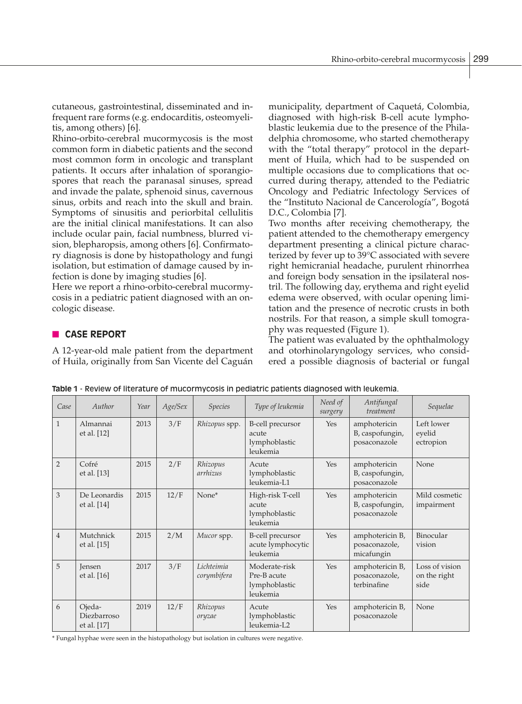cutaneous, gastrointestinal, disseminated and infrequent rare forms (e.g. endocarditis, osteomyelitis, among others) [6].

Rhino-orbito-cerebral mucormycosis is the most common form in diabetic patients and the second most common form in oncologic and transplant patients. It occurs after inhalation of sporangiospores that reach the paranasal sinuses, spread and invade the palate, sphenoid sinus, cavernous sinus, orbits and reach into the skull and brain. Symptoms of sinusitis and periorbital cellulitis are the initial clinical manifestations. It can also include ocular pain, facial numbness, blurred vision, blepharopsis, among others [6]. Confirmatory diagnosis is done by histopathology and fungi isolation, but estimation of damage caused by infection is done by imaging studies [6].

Here we report a rhino-orbito-cerebral mucormycosis in a pediatric patient diagnosed with an oncologic disease.

# **n CASE REPORT**

A 12-year-old male patient from the department of Huila, originally from San Vicente del Caguán municipality, department of Caquetá, Colombia, diagnosed with high-risk B-cell acute lymphoblastic leukemia due to the presence of the Philadelphia chromosome, who started chemotherapy with the "total therapy" protocol in the department of Huila, which had to be suspended on multiple occasions due to complications that occurred during therapy, attended to the Pediatric Oncology and Pediatric Infectology Services of the "Instituto Nacional de Cancerología", Bogotá D.C., Colombia [7].

Two months after receiving chemotherapy, the patient attended to the chemotherapy emergency department presenting a clinical picture characterized by fever up to 39°C associated with severe right hemicranial headache, purulent rhinorrhea and foreign body sensation in the ipsilateral nostril. The following day, erythema and right eyelid edema were observed, with ocular opening limitation and the presence of necrotic crusts in both nostrils. For that reason, a simple skull tomography was requested (Figure 1).

The patient was evaluated by the ophthalmology and otorhinolaryngology services, who considered a possible diagnosis of bacterial or fungal

| Case           | Author                               | Year | Age/Sex | <b>Species</b>            | Type of leukemia                                          | Need of<br>surgery | Antifungal<br>treatment                         | Sequelae                               |
|----------------|--------------------------------------|------|---------|---------------------------|-----------------------------------------------------------|--------------------|-------------------------------------------------|----------------------------------------|
| $\mathbf{1}$   | Almannai<br>et al. [12]              | 2013 | 3/F     | Rhizopus spp.             | B-cell precursor<br>acute<br>lymphoblastic<br>leukemia    | Yes                | amphotericin<br>B, caspofungin,<br>posaconazole | Left lower<br>eyelid<br>ectropion      |
| $\overline{2}$ | Cofré<br>et al. [13]                 | 2015 | 2/F     | Rhizopus<br>arrhizus      | Acute<br>lymphoblastic<br>leukemia-L1                     | <b>Yes</b>         | amphotericin<br>B, caspofungin,<br>posaconazole | None                                   |
| 3              | De Leonardis<br>et al. [14]          | 2015 | 12/F    | None*                     | High-risk T-cell<br>acute<br>lymphoblastic<br>leukemia    | <b>Yes</b>         | amphotericin<br>B, caspofungin,<br>posaconazole | Mild cosmetic<br>impairment            |
| $\overline{4}$ | Mutchnick<br>et al. [15]             | 2015 | 2/M     | Mucor spp.                | B-cell precursor<br>acute lymphocytic<br>leukemia         | Yes                | amphotericin B,<br>posaconazole,<br>micafungin  | Binocular<br>vision                    |
| 5              | <b>Jensen</b><br>et al. [16]         | 2017 | 3/F     | Lichteimia<br>corymbifera | Moderate-risk<br>Pre-B acute<br>lymphoblastic<br>leukemia | Yes                | amphotericin B,<br>posaconazole,<br>terbinafine | Loss of vision<br>on the right<br>side |
| 6              | Ojeda-<br>Diezbarroso<br>et al. [17] | 2019 | 12/F    | Rhizopus<br>oryzae        | Acute<br>lymphoblastic<br>leukemia-L2                     | <b>Yes</b>         | amphotericin B,<br>posaconazole                 | None                                   |

**Table 1** - Review of literature of mucormycosis in pediatric patients diagnosed with leukemia.

\* Fungal hyphae were seen in the histopathology but isolation in cultures were negative.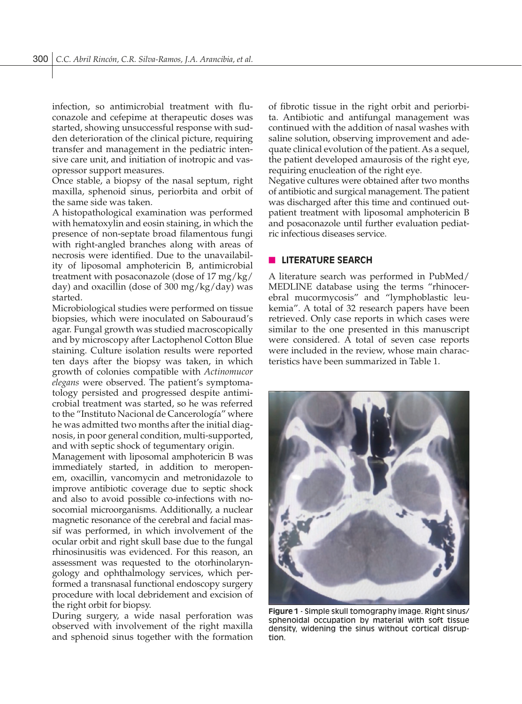infection, so antimicrobial treatment with fluconazole and cefepime at therapeutic doses was started, showing unsuccessful response with sudden deterioration of the clinical picture, requiring transfer and management in the pediatric intensive care unit, and initiation of inotropic and vasopressor support measures.

Once stable, a biopsy of the nasal septum, right maxilla, sphenoid sinus, periorbita and orbit of the same side was taken.

A histopathological examination was performed with hematoxylin and eosin staining, in which the presence of non-septate broad filamentous fungi with right-angled branches along with areas of necrosis were identified. Due to the unavailability of liposomal amphotericin B, antimicrobial treatment with posaconazole (dose of 17 mg/kg/ day) and oxacillin (dose of 300 mg/kg/day) was started.

Microbiological studies were performed on tissue biopsies, which were inoculated on Sabouraud's agar. Fungal growth was studied macroscopically and by microscopy after Lactophenol Cotton Blue staining. Culture isolation results were reported ten days after the biopsy was taken, in which growth of colonies compatible with *Actinomucor elegans* were observed. The patient's symptomatology persisted and progressed despite antimicrobial treatment was started, so he was referred to the "Instituto Nacional de Cancerología" where he was admitted two months after the initial diagnosis, in poor general condition, multi-supported, and with septic shock of tegumentary origin.

Management with liposomal amphotericin B was immediately started, in addition to meropenem, oxacillin, vancomycin and metronidazole to improve antibiotic coverage due to septic shock and also to avoid possible co-infections with nosocomial microorganisms. Additionally, a nuclear magnetic resonance of the cerebral and facial massif was performed, in which involvement of the ocular orbit and right skull base due to the fungal rhinosinusitis was evidenced. For this reason, an assessment was requested to the otorhinolaryngology and ophthalmology services, which performed a transnasal functional endoscopy surgery procedure with local debridement and excision of the right orbit for biopsy.

During surgery, a wide nasal perforation was observed with involvement of the right maxilla and sphenoid sinus together with the formation of fibrotic tissue in the right orbit and periorbita. Antibiotic and antifungal management was continued with the addition of nasal washes with saline solution, observing improvement and adequate clinical evolution of the patient. As a sequel, the patient developed amaurosis of the right eye, requiring enucleation of the right eye.

Negative cultures were obtained after two months of antibiotic and surgical management. The patient was discharged after this time and continued outpatient treatment with liposomal amphotericin B and posaconazole until further evaluation pediatric infectious diseases service.

## **N** LITERATURE SEARCH

A literature search was performed in PubMed/ MEDLINE database using the terms "rhinocerebral mucormycosis" and "lymphoblastic leukemia". A total of 32 research papers have been retrieved. Only case reports in which cases were similar to the one presented in this manuscript were considered. A total of seven case reports were included in the review, whose main characteristics have been summarized in Table 1.



**Figure 1** - Simple skull tomography image. Right sinus/ sphenoidal occupation by material with soft tissue density, widening the sinus without cortical disruption.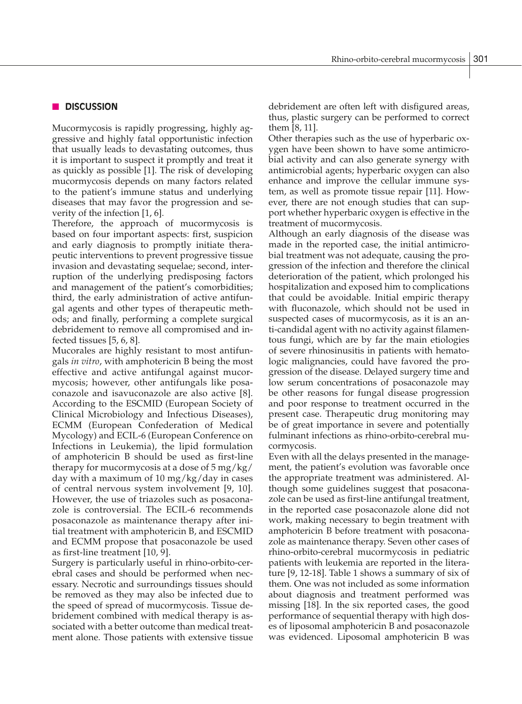## **n** DISCUSSION

Mucormycosis is rapidly progressing, highly aggressive and highly fatal opportunistic infection that usually leads to devastating outcomes, thus it is important to suspect it promptly and treat it as quickly as possible [1]. The risk of developing mucormycosis depends on many factors related to the patient's immune status and underlying diseases that may favor the progression and severity of the infection [1, 6].

Therefore, the approach of mucormycosis is based on four important aspects: first, suspicion and early diagnosis to promptly initiate therapeutic interventions to prevent progressive tissue invasion and devastating sequelae; second, interruption of the underlying predisposing factors and management of the patient's comorbidities; third, the early administration of active antifungal agents and other types of therapeutic methods; and finally, performing a complete surgical debridement to remove all compromised and infected tissues [5, 6, 8].

Mucorales are highly resistant to most antifungals *in vitro*, with amphotericin B being the most effective and active antifungal against mucormycosis; however, other antifungals like posaconazole and isavuconazole are also active [8]. According to the ESCMID (European Society of Clinical Microbiology and Infectious Diseases), ECMM (European Confederation of Medical Mycology) and ECIL-6 (European Conference on Infections in Leukemia), the lipid formulation of amphotericin B should be used as first-line therapy for mucormycosis at a dose of  $5 \,\text{mg/kg}$ / day with a maximum of 10 mg/kg/day in cases of central nervous system involvement [9, 10]. However, the use of triazoles such as posaconazole is controversial. The ECIL-6 recommends posaconazole as maintenance therapy after initial treatment with amphotericin B, and ESCMID and ECMM propose that posaconazole be used as first-line treatment [10, 9].

Surgery is particularly useful in rhino-orbito-cerebral cases and should be performed when necessary. Necrotic and surroundings tissues should be removed as they may also be infected due to the speed of spread of mucormycosis. Tissue debridement combined with medical therapy is associated with a better outcome than medical treatment alone. Those patients with extensive tissue debridement are often left with disfigured areas, thus, plastic surgery can be performed to correct them [8, 11].

Other therapies such as the use of hyperbaric oxygen have been shown to have some antimicrobial activity and can also generate synergy with antimicrobial agents; hyperbaric oxygen can also enhance and improve the cellular immune system, as well as promote tissue repair [11]. However, there are not enough studies that can support whether hyperbaric oxygen is effective in the treatment of mucormycosis.

Although an early diagnosis of the disease was made in the reported case, the initial antimicrobial treatment was not adequate, causing the progression of the infection and therefore the clinical deterioration of the patient, which prolonged his hospitalization and exposed him to complications that could be avoidable. Initial empiric therapy with fluconazole, which should not be used in suspected cases of mucormycosis, as it is an anti-candidal agent with no activity against filamentous fungi, which are by far the main etiologies of severe rhinosinusitis in patients with hematologic malignancies, could have favored the progression of the disease. Delayed surgery time and low serum concentrations of posaconazole may be other reasons for fungal disease progression and poor response to treatment occurred in the present case. Therapeutic drug monitoring may be of great importance in severe and potentially fulminant infections as rhino-orbito-cerebral mucormycosis.

Even with all the delays presented in the management, the patient's evolution was favorable once the appropriate treatment was administered. Although some guidelines suggest that posaconazole can be used as first-line antifungal treatment, in the reported case posaconazole alone did not work, making necessary to begin treatment with amphotericin B before treatment with posaconazole as maintenance therapy. Seven other cases of rhino-orbito-cerebral mucormycosis in pediatric patients with leukemia are reported in the literature [9, 12-18]. Table 1 shows a summary of six of them. One was not included as some information about diagnosis and treatment performed was missing [18]. In the six reported cases, the good performance of sequential therapy with high doses of liposomal amphotericin B and posaconazole was evidenced. Liposomal amphotericin B was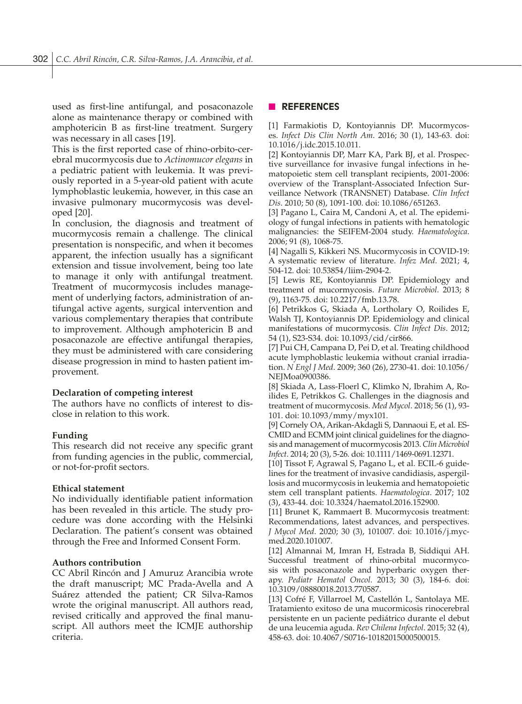used as first-line antifungal, and posaconazole alone as maintenance therapy or combined with amphotericin B as first-line treatment. Surgery was necessary in all cases [19].

This is the first reported case of rhino-orbito-cerebral mucormycosis due to *Actinomucor elegans* in a pediatric patient with leukemia. It was previously reported in a 5-year-old patient with acute lymphoblastic leukemia, however, in this case an invasive pulmonary mucormycosis was developed [20].

In conclusion, the diagnosis and treatment of mucormycosis remain a challenge. The clinical presentation is nonspecific, and when it becomes apparent, the infection usually has a significant extension and tissue involvement, being too late to manage it only with antifungal treatment. Treatment of mucormycosis includes management of underlying factors, administration of antifungal active agents, surgical intervention and various complementary therapies that contribute to improvement. Although amphotericin B and posaconazole are effective antifungal therapies, they must be administered with care considering disease progression in mind to hasten patient improvement.

#### **Declaration of competing interest**

The authors have no conflicts of interest to disclose in relation to this work.

#### **Funding**

This research did not receive any specific grant from funding agencies in the public, commercial, or not-for-profit sectors.

## **Ethical statement**

No individually identifiable patient information has been revealed in this article. The study procedure was done according with the Helsinki Declaration. The patient's consent was obtained through the Free and Informed Consent Form.

#### **Authors contribution**

CC Abril Rincón and J Amuruz Arancibia wrote the draft manuscript; MC Prada-Avella and A Suárez attended the patient; CR Silva-Ramos wrote the original manuscript. All authors read, revised critically and approved the final manuscript. All authors meet the ICMJE authorship criteria.

## n **REFERENCES**

[1] Farmakiotis D, Kontoyiannis DP. Mucormycoses. *Infect Dis Clin North Am*. 2016; 30 (1), 143-63. doi: 10.1016/j.idc.2015.10.011.

[2] Kontoyiannis DP, Marr KA, Park BJ, et al. Prospective surveillance for invasive fungal infections in hematopoietic stem cell transplant recipients, 2001-2006: overview of the Transplant-Associated Infection Surveillance Network (TRANSNET) Database. *Clin Infect Dis*. 2010; 50 (8), 1091-100. doi: 10.1086/651263.

[3] Pagano L, Caira M, Candoni A, et al. The epidemiology of fungal infections in patients with hematologic malignancies: the SEIFEM-2004 study. *Haematologica*. 2006; 91 (8), 1068-75.

[4] Nagalli S, Kikkeri NS. Mucormycosis in COVID-19: A systematic review of literature. *Infez Med*. 2021; 4, 504-12. doi: 10.53854/liim-2904-2.

[5] Lewis RE, Kontoyiannis DP. Epidemiology and treatment of mucormycosis. *Future Microbiol*. 2013; 8 (9), 1163-75. doi: 10.2217/fmb.13.78.

[6] Petrikkos G, Skiada A, Lortholary O, Roilides E, Walsh TJ, Kontoyiannis DP. Epidemiology and clinical manifestations of mucormycosis. *Clin Infect Dis*. 2012; 54 (1), S23-S34. doi: 10.1093/cid/cir866.

[7] Pui CH, Campana D, Pei D, et al. Treating childhood acute lymphoblastic leukemia without cranial irradiation. *N Engl J Med*. 2009; 360 (26), 2730-41. doi: 10.1056/ NEJMoa0900386.

[8] Skiada A, Lass-Floerl C, Klimko N, Ibrahim A, Roilides E, Petrikkos G. Challenges in the diagnosis and treatment of mucormycosis. *Med Mycol*. 2018; 56 (1), 93- 101. doi: 10.1093/mmy/myx101.

[9] Cornely OA, Arikan-Akdagli S, Dannaoui E, et al. ES-CMID and ECMM joint clinical guidelines for the diagnosis and management of mucormycosis 2013. *Clin Microbiol Infect*. 2014; 20 (3), 5-26. doi: 10.1111/1469-0691.12371.

[10] Tissot F, Agrawal S, Pagano L, et al. ECIL-6 guidelines for the treatment of invasive candidiasis, aspergillosis and mucormycosis in leukemia and hematopoietic stem cell transplant patients. *Haematologica*. 2017; 102 (3), 433-44. doi: 10.3324/haematol.2016.152900.

[11] Brunet K, Rammaert B. Mucormycosis treatment: Recommendations, latest advances, and perspectives. *J Mycol Med*. 2020; 30 (3), 101007. doi: 10.1016/j.mycmed.2020.101007.

[12] Almannai M, Imran H, Estrada B, Siddiqui AH. Successful treatment of rhino-orbital mucormycosis with posaconazole and hyperbaric oxygen therapy. *Pediatr Hematol Oncol*. 2013; 30 (3), 184-6. doi: 10.3109/08880018.2013.770587.

[13] Cofré F, Villarroel M, Castellón L, Santolaya ME. Tratamiento exitoso de una mucormicosis rinocerebral persistente en un paciente pediátrico durante el debut de una leucemia aguda. *Rev Chilena Infectol*. 2015; 32 (4), 458-63. doi: 10.4067/S0716-10182015000500015.